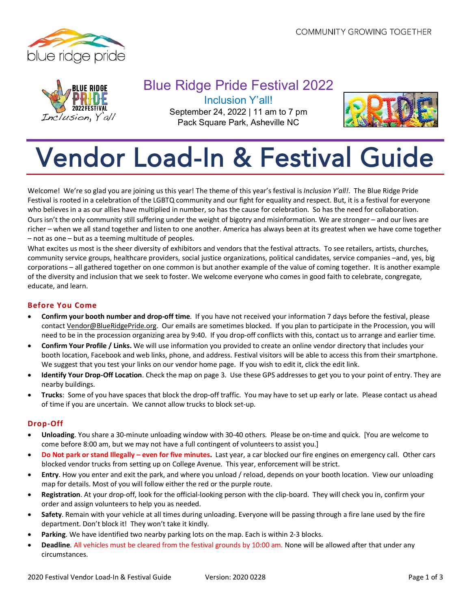



Blue Ridge Pride Festival 2022

Inclusion Y'all! September 24, 2022 | 11 am to 7 pm

Pack Square Park, Asheville NC



# Vendor Load-In & Festival Guide

Welcome! We're so glad you are joining us this year! The theme of this year's festival is *Inclusion Y'all!*. The Blue Ridge Pride Festival is rooted in a celebration of the LGBTQ community and our fight for equality and respect. But, it is a festival for everyone who believes in a as our allies have multiplied in number, so has the cause for celebration. So has the need for collaboration. Ours isn't the only community still suffering under the weight of bigotry and misinformation. We are stronger – and our lives are richer – when we all stand together and listen to one another. America has always been at its greatest when we have come together – not as one – but as a teeming multitude of peoples.

What excites us most is the sheer diversity of exhibitors and vendors that the festival attracts. To see retailers, artists, churches, community service groups, healthcare providers, social justice organizations, political candidates, service companies –and, yes, big corporations – all gathered together on one common is but another example of the value of coming together. It is another example of the diversity and inclusion that we seek to foster. We welcome everyone who comes in good faith to celebrate, congregate, educate, and learn.

# **Before You Come**

- **Confirm your booth number and drop-off time**. If you have not received your information 7 days before the festival, please contac[t Vendor@BlueRidgePride.org.](mailto:Vendor@BlueRidgePride.org) Our emails are sometimes blocked. If you plan to participate in the Procession, you will need to be in the procession organizing area by 9:40. If you drop-off conflicts with this, contact us to arrange and earlier time.
- **Confirm Your Profile / Links.** We will use information you provided to create an online vendor directory that includes your booth location, Facebook and web links, phone, and address. Festival visitors will be able to access this from their smartphone. We suggest that you test your links on our vendor home page. If you wish to edit it, click the edit link.
- **Identify Your Drop-Off Location**. Check the map on page 3. Use these GPS addresses to get you to your point of entry. They are nearby buildings.
- **Trucks**: Some of you have spaces that block the drop-off traffic. You may have to set up early or late. Please contact us ahead of time if you are uncertain. We cannot allow trucks to block set-up.

# **Drop-Off**

- **Unloading**. You share a 30-minute unloading window with 30-40 others. Please be on-time and quick. [You are welcome to come before 8:00 am, but we may not have a full contingent of volunteers to assist you.]
- **Do Not park or stand Illegally – even for five minutes.** Last year, a car blocked our fire engines on emergency call. Other cars blocked vendor trucks from setting up on College Avenue. This year, enforcement will be strict.
- **Entry**. How you enter and exit the park, and where you unload / reload, depends on your booth location. View our unloading map for details. Most of you will follow either the red or the purple route.
- **Registration**. At your drop-off, look for the official-looking person with the clip-board. They will check you in, confirm your order and assign volunteers to help you as needed.
- **Safety**. Remain with your vehicle at all times during unloading. Everyone will be passing through a fire lane used by the fire department. Don't block it! They won't take it kindly.
- **Parking**. We have identified two nearby parking lots on the map. Each is within 2-3 blocks.
- **Deadline**. All vehicles must be cleared from the festival grounds by 10:00 am. None will be allowed after that under any circumstances.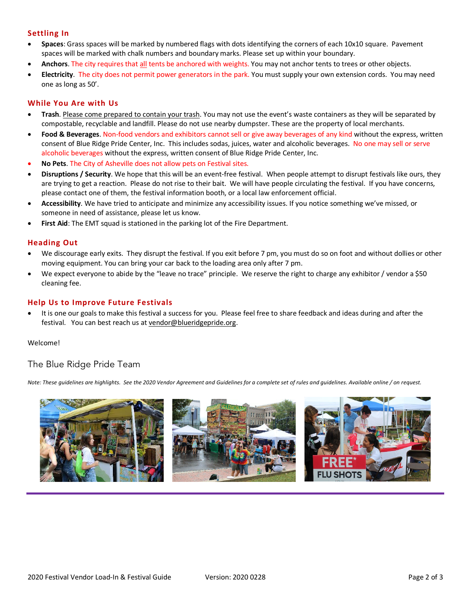### **Settling In**

- **Spaces**: Grass spaces will be marked by numbered flags with dots identifying the corners of each 10x10 square. Pavement spaces will be marked with chalk numbers and boundary marks. Please set up within your boundary.
- **Anchors**. The city requires that all tents be anchored with weights. You may not anchor tents to trees or other objects.
- **Electricity**. The city does not permit power generators in the park. You must supply your own extension cords. You may need one as long as 50'.

## **While You Are with Us**

- **Trash**. Please come prepared to contain your trash. You may not use the event's waste containers as they will be separated by compostable, recyclable and landfill. Please do not use nearby dumpster. These are the property of local merchants.
- **Food & Beverages**. Non-food vendors and exhibitors cannot sell or give away beverages of any kind without the express, written consent of Blue Ridge Pride Center, Inc. This includes sodas, juices, water and alcoholic beverages. No one may sell or serve alcoholic beverages without the express, written consent of Blue Ridge Pride Center, Inc.
- **No Pets**. The City of Asheville does not allow pets on Festival sites.
- **Disruptions / Security**. We hope that this will be an event-free festival. When people attempt to disrupt festivals like ours, they are trying to get a reaction. Please do not rise to their bait. We will have people circulating the festival. If you have concerns, please contact one of them, the festival information booth, or a local law enforcement official.
- **Accessibility**. We have tried to anticipate and minimize any accessibility issues. If you notice something we've missed, or someone in need of assistance, please let us know.
- **First Aid:** The EMT squad is stationed in the parking lot of the Fire Department.

### **Heading Out**

- We discourage early exits. They disrupt the festival. If you exit before 7 pm, you must do so on foot and without dollies or other moving equipment. You can bring your car back to the loading area only after 7 pm.
- We expect everyone to abide by the "leave no trace" principle. We reserve the right to charge any exhibitor / vendor a \$50 cleaning fee.

### **Help Us to Improve Future Festivals**

• It is one our goals to make this festival a success for you. Please feel free to share feedback and ideas during and after the festival. You can best reach us a[t vendor@blueridgepride.org.](mailto:vendor@blueridgepride.org)

### Welcome!

# The Blue Ridge Pride Team

*Note: These guidelines are highlights. See the 2020 Vendor Agreement and Guidelines for a complete set of rules and guidelines. Available online / on request.*